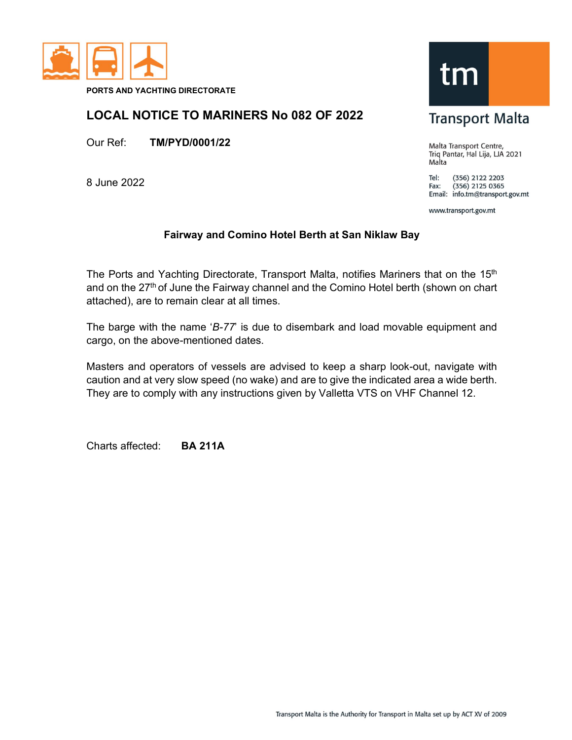

PORTS AND YACHTING DIRECTORATE

## LOCAL NOTICE TO MARINERS No 082 OF 2022

Our Ref: TM/PYD/0001/22

8 June 2022



Malta Transport Centre, Triq Pantar, Hal Lija, LJA 2021 Malta

Tel: (356) 2122 2203  $(356)$  2125 0365 Fax: Email: info.tm@transport.gov.mt

www.transport.gov.mt

## Fairway and Comino Hotel Berth at San Niklaw Bay

The Ports and Yachting Directorate, Transport Malta, notifies Mariners that on the 15<sup>th</sup> and on the 27<sup>th</sup> of June the Fairway channel and the Comino Hotel berth (shown on chart attached), are to remain clear at all times.

The barge with the name 'B-77' is due to disembark and load movable equipment and cargo, on the above-mentioned dates.

Masters and operators of vessels are advised to keep a sharp look-out, navigate with caution and at very slow speed (no wake) and are to give the indicated area a wide berth. They are to comply with any instructions given by Valletta VTS on VHF Channel 12.

Charts affected: BA 211A